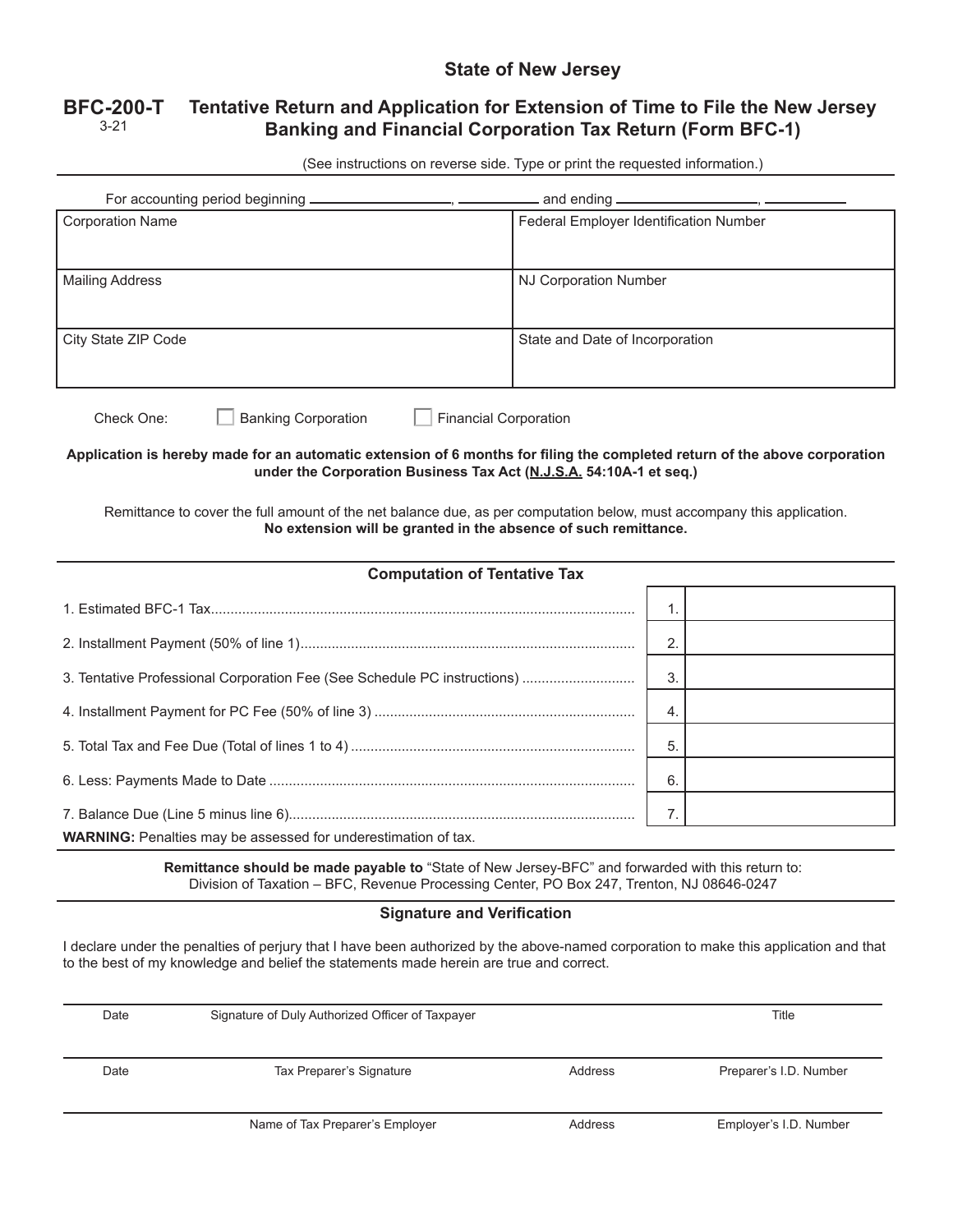## **State of New Jersey**

## **BFC-200-T** 3-21 **Tentative Return and Application for Extension of Time to File the New Jersey Banking and Financial Corporation Tax Return (Form BFC-1)**

(See instructions on reverse side. Type or print the requested information.)

| For accounting period beginning _______                                                                                                                                                                                                                                      |                                                                          | and ending <b>____________________</b> , <b>______</b> |  |                        |  |
|------------------------------------------------------------------------------------------------------------------------------------------------------------------------------------------------------------------------------------------------------------------------------|--------------------------------------------------------------------------|--------------------------------------------------------|--|------------------------|--|
| <b>Corporation Name</b>                                                                                                                                                                                                                                                      |                                                                          | Federal Employer Identification Number                 |  |                        |  |
| <b>Mailing Address</b>                                                                                                                                                                                                                                                       | <b>NJ Corporation Number</b>                                             |                                                        |  |                        |  |
| City State ZIP Code                                                                                                                                                                                                                                                          | State and Date of Incorporation                                          |                                                        |  |                        |  |
| <b>Banking Corporation</b><br><b>Financial Corporation</b><br>Check One:<br>Application is hereby made for an automatic extension of 6 months for filing the completed return of the above corporation<br>under the Corporation Business Tax Act (N.J.S.A. 54:10A-1 et seq.) |                                                                          |                                                        |  |                        |  |
| Remittance to cover the full amount of the net balance due, as per computation below, must accompany this application.<br>No extension will be granted in the absence of such remittance.                                                                                    |                                                                          |                                                        |  |                        |  |
| <b>Computation of Tentative Tax</b>                                                                                                                                                                                                                                          |                                                                          |                                                        |  |                        |  |
|                                                                                                                                                                                                                                                                              |                                                                          | 1.                                                     |  |                        |  |
|                                                                                                                                                                                                                                                                              |                                                                          | 2.                                                     |  |                        |  |
|                                                                                                                                                                                                                                                                              | 3. Tentative Professional Corporation Fee (See Schedule PC instructions) | 3.                                                     |  |                        |  |
|                                                                                                                                                                                                                                                                              |                                                                          | 4.                                                     |  |                        |  |
|                                                                                                                                                                                                                                                                              |                                                                          | 5.                                                     |  |                        |  |
|                                                                                                                                                                                                                                                                              |                                                                          | 6.                                                     |  |                        |  |
|                                                                                                                                                                                                                                                                              |                                                                          | 7.                                                     |  |                        |  |
| WARNING: Penalties may be assessed for underestimation of tax.                                                                                                                                                                                                               |                                                                          |                                                        |  |                        |  |
| Remittance should be made payable to "State of New Jersey-BFC" and forwarded with this return to:<br>Division of Taxation - BFC, Revenue Processing Center, PO Box 247, Trenton, NJ 08646-0247                                                                               |                                                                          |                                                        |  |                        |  |
| <b>Signature and Verification</b>                                                                                                                                                                                                                                            |                                                                          |                                                        |  |                        |  |
| I declare under the penalties of perjury that I have been authorized by the above-named corporation to make this application and that<br>to the best of my knowledge and belief the statements made herein are true and correct.                                             |                                                                          |                                                        |  |                        |  |
| Date                                                                                                                                                                                                                                                                         | Signature of Duly Authorized Officer of Taxpayer                         |                                                        |  | Title                  |  |
| Date                                                                                                                                                                                                                                                                         | Tax Preparer's Signature                                                 | Address                                                |  | Preparer's I.D. Number |  |